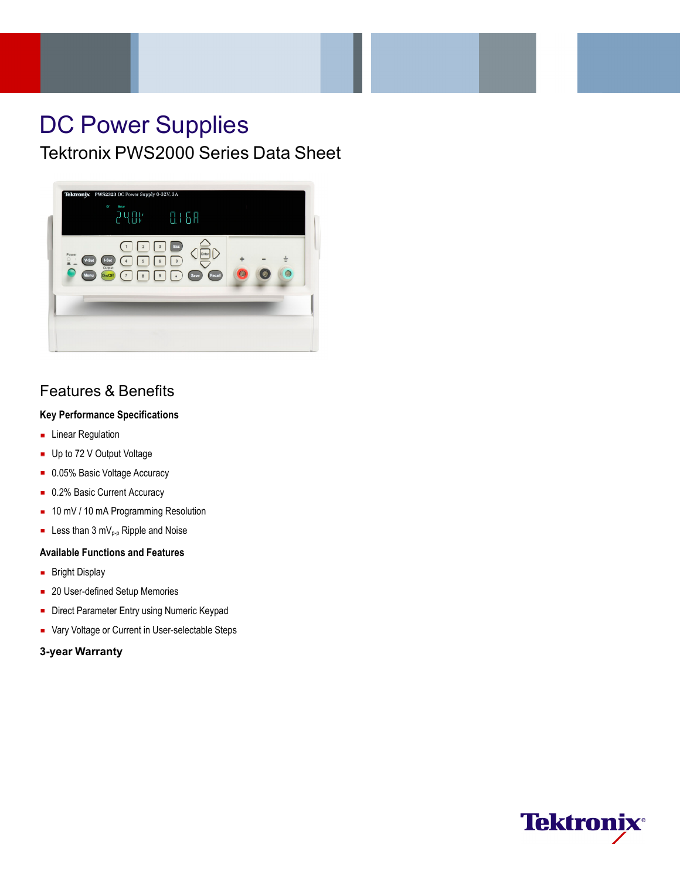# DC Power Supplies

Tektronix PWS2000 Series Data Sheet



## Features & Benefits

### **Key Performance Specifications**

- **Linear Regulation**
- Up to 72 V Output Voltage
- 0.05% Basic Voltage Accuracy
- 0.2% Basic Current Accuracy
- 10 mV / 10 mA Programming Resolution
- Example 2 Less than 3 mV<sub>p-p</sub> Ripple and Noise

#### **Available Functions and Features**

- **Bright Display**
- 20 User-defined Setup Memories
- Direct Parameter Entry using Numeric Keypad
- Vary Voltage or Current in User-selectable Steps

#### **3-year Warranty**

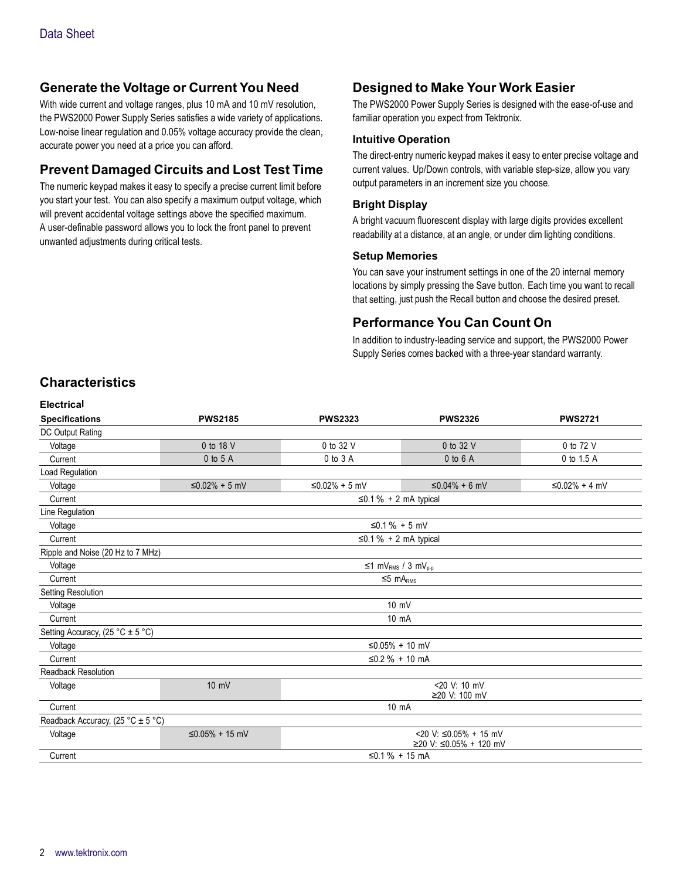### **Generate the Voltage or Current You Need**

With wide current and voltage ranges, plus 10 mA and 10 mV resolution, the PWS2000 Power Supply Series satisfies a wide variety of applications. Low-noise linear regulation and 0.05% voltage accuracy provide the clean, accurate power you need at a price you can afford.

### **Prevent Damaged Circuits and Lost Test Time**

The numeric keypad makes it easy to specify a precise current limit before you start your test. You can also specify a maximum output voltage, which will prevent accidental voltage settings above the specified maximum. A user-definable password allows you to lock the front panel to prevent unwanted adjustments during critical tests.

### **Designed to Make Your Work Easier**

The PWS2000 Power Supply Series is designed with the ease-of-use and familiar operation you expect from Tektronix.

#### **Intuitive Operation**

The direct-entry numeric keypad makes it easy to enter precise voltage and current values. Up/Down controls, with variable step-size, allow you vary output parameters in an increment size you choose.

#### **Bright Display**

A bright vacuum fluorescent display with large digits provides excellent readability at a distance, at an angle, or under dim lighting conditions.

#### **Setup Memories**

You can save your instrument settings in one of the 20 internal memory locations by simply pressing the Save button. Each time you want to recall that setting, just push the Recall button and choose the desired preset.

### **Performance You Can Count On**

In addition to industry-leading service and support, the PWS2000 Power Supply Series comes backed with a three-year standard warranty.

### **Characteristics**

**Electrical**

| <b>PWS2185</b>                                   | <b>PWS2323</b>                                                         | <b>PWS2326</b>                | <b>PWS2721</b>                                                                                                                        |  |  |  |  |  |  |  |  |  |
|--------------------------------------------------|------------------------------------------------------------------------|-------------------------------|---------------------------------------------------------------------------------------------------------------------------------------|--|--|--|--|--|--|--|--|--|
|                                                  |                                                                        |                               |                                                                                                                                       |  |  |  |  |  |  |  |  |  |
| 0 to 18 V                                        | 0 to 32 V                                                              | 0 to 32 V                     | 0 to 72 V                                                                                                                             |  |  |  |  |  |  |  |  |  |
| 0 to 5 A                                         | 0 to 3 A                                                               | $0$ to $6$ A                  | 0 to 1.5 A                                                                                                                            |  |  |  |  |  |  |  |  |  |
|                                                  |                                                                        |                               |                                                                                                                                       |  |  |  |  |  |  |  |  |  |
| $≤0.02% + 5$ mV                                  | ≤0.02% + 5 mV                                                          | $≤0.04% + 6$ mV               | $≤0.02% + 4 mV$                                                                                                                       |  |  |  |  |  |  |  |  |  |
|                                                  |                                                                        |                               |                                                                                                                                       |  |  |  |  |  |  |  |  |  |
|                                                  |                                                                        |                               |                                                                                                                                       |  |  |  |  |  |  |  |  |  |
|                                                  |                                                                        |                               |                                                                                                                                       |  |  |  |  |  |  |  |  |  |
| $\leq$ 0.1 % + 2 mA typical                      |                                                                        |                               |                                                                                                                                       |  |  |  |  |  |  |  |  |  |
|                                                  |                                                                        |                               |                                                                                                                                       |  |  |  |  |  |  |  |  |  |
| $\leq 1$ mV <sub>RMS</sub> / 3 mV <sub>p-p</sub> |                                                                        |                               |                                                                                                                                       |  |  |  |  |  |  |  |  |  |
| $≤5 \; mARMS$                                    |                                                                        |                               |                                                                                                                                       |  |  |  |  |  |  |  |  |  |
|                                                  |                                                                        |                               |                                                                                                                                       |  |  |  |  |  |  |  |  |  |
|                                                  | 10 mV                                                                  |                               |                                                                                                                                       |  |  |  |  |  |  |  |  |  |
|                                                  | 10 mA                                                                  |                               |                                                                                                                                       |  |  |  |  |  |  |  |  |  |
|                                                  |                                                                        |                               |                                                                                                                                       |  |  |  |  |  |  |  |  |  |
|                                                  |                                                                        |                               |                                                                                                                                       |  |  |  |  |  |  |  |  |  |
|                                                  |                                                                        |                               |                                                                                                                                       |  |  |  |  |  |  |  |  |  |
|                                                  |                                                                        |                               |                                                                                                                                       |  |  |  |  |  |  |  |  |  |
| $10 \text{ mV}$                                  |                                                                        | <20 V: 10 mV<br>≥20 V: 100 mV |                                                                                                                                       |  |  |  |  |  |  |  |  |  |
|                                                  |                                                                        |                               |                                                                                                                                       |  |  |  |  |  |  |  |  |  |
|                                                  |                                                                        |                               |                                                                                                                                       |  |  |  |  |  |  |  |  |  |
| <20 V: ≤0.05% + 15 mV<br>≤0.05% + 15 mV          |                                                                        |                               |                                                                                                                                       |  |  |  |  |  |  |  |  |  |
|                                                  |                                                                        |                               |                                                                                                                                       |  |  |  |  |  |  |  |  |  |
|                                                  | Ripple and Noise (20 Hz to 7 MHz)<br>Readback Accuracy, (25 °C ± 5 °C) |                               | $\leq$ 0.1 % + 2 mA typical<br>≤0.1 % + 5 mV<br>≤0.05% + 10 mV<br>≤0.2 % + 10 mA<br>10 mA<br>≥20 V: ≤0.05% + 120 mV<br>≤0.1 % + 15 mA |  |  |  |  |  |  |  |  |  |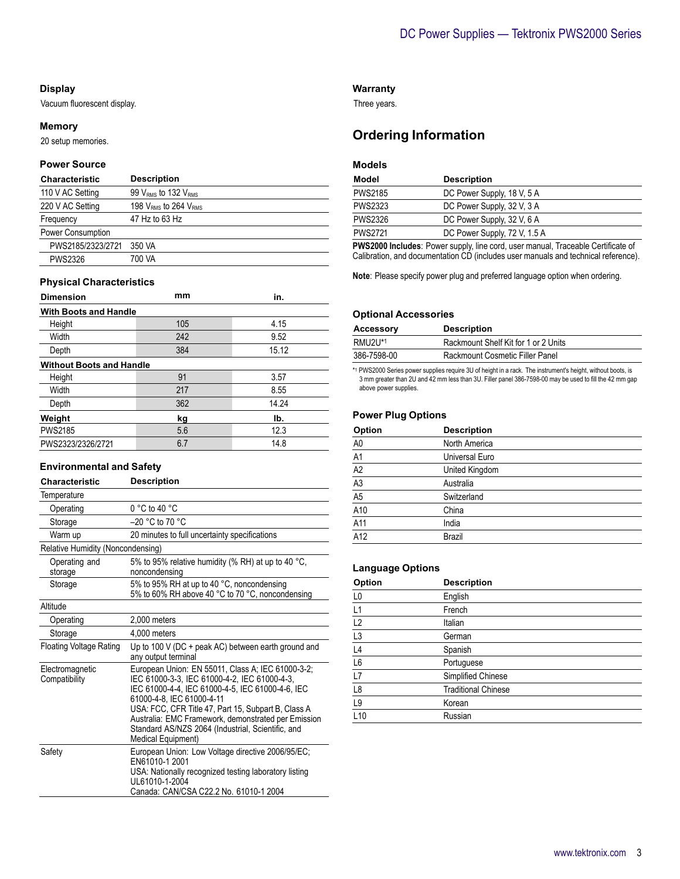#### **Display**

Vacuum fluorescent display.

#### **Memory**

20 setup memories.

### **Power Source**

| <b>Characteristic</b> | <b>Description</b>                          |
|-----------------------|---------------------------------------------|
| 110 V AC Setting      | 99 V <sub>RMS</sub> to 132 V <sub>RMS</sub> |
| 220 V AC Setting      | 198 $VRMS$ to 264 $VRMS$                    |
| Frequency             | 47 Hz to 63 Hz                              |
| Power Consumption     |                                             |
| PWS2185/2323/2721     | 350 VA                                      |
| <b>PWS2326</b>        | 700 VA                                      |

#### **Physical Characteristics**

| <b>Dimension</b>                | mm  | in.   |  |  |  |  |  |  |  |  |
|---------------------------------|-----|-------|--|--|--|--|--|--|--|--|
| <b>With Boots and Handle</b>    |     |       |  |  |  |  |  |  |  |  |
| Height                          | 105 | 4.15  |  |  |  |  |  |  |  |  |
| Width                           | 242 | 9.52  |  |  |  |  |  |  |  |  |
| Depth                           | 384 | 15.12 |  |  |  |  |  |  |  |  |
| <b>Without Boots and Handle</b> |     |       |  |  |  |  |  |  |  |  |
| Height                          | 91  | 3.57  |  |  |  |  |  |  |  |  |
| Width                           | 217 | 8.55  |  |  |  |  |  |  |  |  |
| Depth                           | 362 | 14.24 |  |  |  |  |  |  |  |  |
| Weight                          | kg  | Ib.   |  |  |  |  |  |  |  |  |
| <b>PWS2185</b>                  | 5.6 | 12.3  |  |  |  |  |  |  |  |  |
| PWS2323/2326/2721               | 6.7 | 14.8  |  |  |  |  |  |  |  |  |

#### **Environmental and Safety**

| Characteristic                    | <b>Description</b>                                                                                                                                                                                                                                                                               |  |  |  |  |  |
|-----------------------------------|--------------------------------------------------------------------------------------------------------------------------------------------------------------------------------------------------------------------------------------------------------------------------------------------------|--|--|--|--|--|
| Temperature                       |                                                                                                                                                                                                                                                                                                  |  |  |  |  |  |
| Operating                         | $0 °C$ to 40 $°C$                                                                                                                                                                                                                                                                                |  |  |  |  |  |
| Storage                           | $-20$ °C to 70 °C                                                                                                                                                                                                                                                                                |  |  |  |  |  |
| Warm up                           | 20 minutes to full uncertainty specifications                                                                                                                                                                                                                                                    |  |  |  |  |  |
| Relative Humidity (Noncondensing) |                                                                                                                                                                                                                                                                                                  |  |  |  |  |  |
| Operating and<br>storage          | 5% to 95% relative humidity (% RH) at up to 40 °C,<br>noncondensing                                                                                                                                                                                                                              |  |  |  |  |  |
| Storage                           | 5% to 95% RH at up to 40 °C, noncondensing<br>5% to 60% RH above 40 °C to 70 °C, noncondensing                                                                                                                                                                                                   |  |  |  |  |  |
| Altitude                          |                                                                                                                                                                                                                                                                                                  |  |  |  |  |  |
| Operating                         | 2.000 meters                                                                                                                                                                                                                                                                                     |  |  |  |  |  |
| Storage                           | 4.000 meters                                                                                                                                                                                                                                                                                     |  |  |  |  |  |
| Floating Voltage Rating           | Up to 100 V (DC + peak AC) between earth ground and<br>any output terminal                                                                                                                                                                                                                       |  |  |  |  |  |
| Electromagnetic<br>Compatibility  | European Union: EN 55011, Class A; IEC 61000-3-2;<br>IEC 61000-3-3, IEC 61000-4-2, IEC 61000-4-3,<br>IEC 61000-4-4, IEC 61000-4-5, IEC 61000-4-6, IEC<br>61000-4-8, IEC 61000-4-11<br>USA: FCC, CFR Title 47, Part 15, Subpart B, Class A<br>Australia: EMC Framework, demonstrated per Emission |  |  |  |  |  |
|                                   | Standard AS/NZS 2064 (Industrial, Scientific, and<br>Medical Equipment)                                                                                                                                                                                                                          |  |  |  |  |  |
| Safety                            | European Union: Low Voltage directive 2006/95/EC;<br>FN61010-1 2001<br>USA: Nationally recognized testing laboratory listing<br>UL61010-1-2004<br>Canada: CAN/CSA C22.2 No. 61010-1 2004                                                                                                         |  |  |  |  |  |

### **Warranty**

Three years.

### **Ordering Information**

### **Models**

| Model          | <b>Description</b>           |
|----------------|------------------------------|
| <b>PWS2185</b> | DC Power Supply, 18 V, 5 A   |
| <b>PWS2323</b> | DC Power Supply, 32 V, 3 A   |
| <b>PWS2326</b> | DC Power Supply, 32 V, 6 A   |
| <b>PWS2721</b> | DC Power Supply, 72 V, 1.5 A |
|                |                              |

**PWS2000 Includes**: Power supply, line cord, user manual, Traceable Certificate of Calibration, and documentation CD (includes user manuals and technical reference).

**Note**: Please specify power plug and preferred language option when ordering.

#### **Optional Accessories**

| <b>Accessory</b> | <b>Description</b>                   |
|------------------|--------------------------------------|
| RMU2U*1          | Rackmount Shelf Kit for 1 or 2 Units |
| 386-7598-00      | Rackmount Cosmetic Filler Panel      |

\*1 PWS2000 Series power supplies require 3U of height in a rack. The instrument's height, without boots, is 3 mm greater than 2U and 42 mm less than 3U. Filler panel 386-7598-00 may be used to fill the 42 mm gap above power supplies.

### **Power Plug Options**

| Option                                                                           | <b>Description</b> |  |
|----------------------------------------------------------------------------------|--------------------|--|
|                                                                                  | North America      |  |
|                                                                                  | Universal Euro     |  |
| $\frac{AD}{A1}$ $\frac{AD}{A2}$ $\frac{AD}{A3}$ $\frac{AD}{A5}$ $\frac{AD}{A10}$ | United Kingdom     |  |
|                                                                                  | Australia          |  |
|                                                                                  | Switzerland        |  |
|                                                                                  | China              |  |
| A11                                                                              | India              |  |
| A12                                                                              | <b>Brazil</b>      |  |

#### **Language Options**

| Option          | <b>Description</b>         |  |
|-----------------|----------------------------|--|
| L0              | English                    |  |
| L1              | French                     |  |
| $\frac{L2}{L3}$ | Italian                    |  |
|                 | German                     |  |
| $\overline{L4}$ | Spanish                    |  |
| L6              | Portuguese                 |  |
| L7              | Simplified Chinese         |  |
| $\mathsf{L}8$   | <b>Traditional Chinese</b> |  |
| L9              | Korean                     |  |
| L10             | Russian                    |  |
|                 |                            |  |